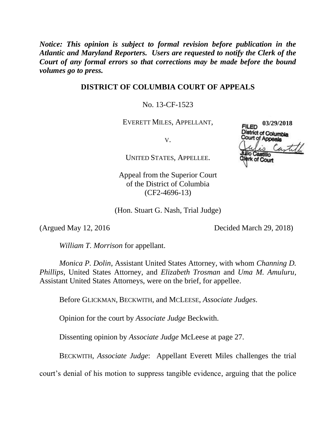*Notice: This opinion is subject to formal revision before publication in the Atlantic and Maryland Reporters. Users are requested to notify the Clerk of the Court of any formal errors so that corrections may be made before the bound volumes go to press.* 

# **DISTRICT OF COLUMBIA COURT OF APPEALS**

# No. 13-CF-1523

EVERETT MILES, APPELLANT,

V.

UNITED STATES, APPELLEE.

Appeal from the Superior Court of the District of Columbia (CF2-4696-13)

(Hon. Stuart G. Nash, Trial Judge)

(Argued May 12, 2016 Decided March 29, 2018)

*William T. Morrison* for appellant.

*Monica P. Dolin*, Assistant United States Attorney, with whom *Channing D. Phillips*, United States Attorney, and *Elizabeth Trosman* and *Uma M. Amuluru*, Assistant United States Attorneys, were on the brief, for appellee.

Before GLICKMAN, BECKWITH, and MCLEESE, *Associate Judges*.

Opinion for the court by *Associate Judge* Beckwith.

Dissenting opinion by *Associate Judge* McLeese at page 27.

BECKWITH, *Associate Judge*: Appellant Everett Miles challenges the trial

court's denial of his motion to suppress tangible evidence, arguing that the police

**03/29/2018FILED District of Columbia** Court of Appeals until of Court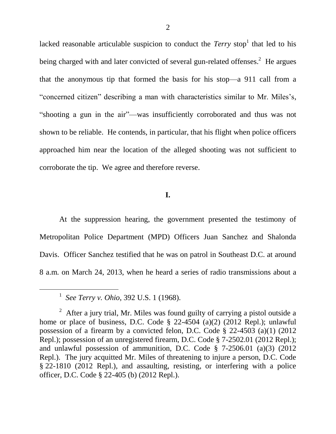lacked reasonable articulable suspicion to conduct the *Terry* stop<sup>1</sup> that led to his being charged with and later convicted of several gun-related offenses.<sup>2</sup> He argues that the anonymous tip that formed the basis for his stop—a 911 call from a "concerned citizen" describing a man with characteristics similar to Mr. Miles's, "shooting a gun in the air"—was insufficiently corroborated and thus was not shown to be reliable. He contends, in particular, that his flight when police officers approached him near the location of the alleged shooting was not sufficient to corroborate the tip. We agree and therefore reverse.

## **I.**

At the suppression hearing, the government presented the testimony of Metropolitan Police Department (MPD) Officers Juan Sanchez and Shalonda Davis. Officer Sanchez testified that he was on patrol in Southeast D.C. at around 8 a.m. on March 24, 2013, when he heard a series of radio transmissions about a

l

<sup>1</sup> *See Terry v. Ohio*, 392 U.S. 1 (1968).

<sup>&</sup>lt;sup>2</sup> After a jury trial, Mr. Miles was found guilty of carrying a pistol outside a home or place of business, D.C. Code § 22-4504 (a)(2) (2012 Repl.); unlawful possession of a firearm by a convicted felon, D.C. Code § 22-4503 (a)(1) (2012 Repl.); possession of an unregistered firearm, D.C. Code § 7-2502.01 (2012 Repl.); and unlawful possession of ammunition, D.C. Code § 7-2506.01 (a)(3) (2012 Repl.). The jury acquitted Mr. Miles of threatening to injure a person, D.C. Code § 22-1810 (2012 Repl.), and assaulting, resisting, or interfering with a police officer, D.C. Code § 22-405 (b) (2012 Repl.).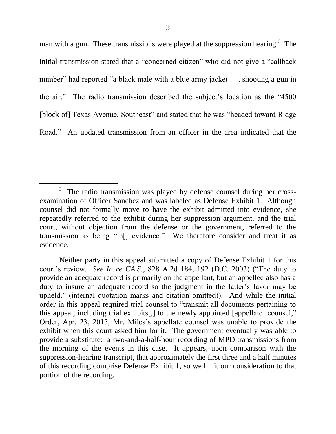man with a gun. These transmissions were played at the suppression hearing.<sup>3</sup> The initial transmission stated that a "concerned citizen" who did not give a "callback number" had reported "a black male with a blue army jacket  $\ldots$  shooting a gun in the air." The radio transmission described the subject's location as the "4500" [block of] Texas Avenue, Southeast" and stated that he was "headed toward Ridge" Road." An updated transmission from an officer in the area indicated that the

 $\overline{a}$ 3 The radio transmission was played by defense counsel during her crossexamination of Officer Sanchez and was labeled as Defense Exhibit 1. Although counsel did not formally move to have the exhibit admitted into evidence, she repeatedly referred to the exhibit during her suppression argument, and the trial court, without objection from the defense or the government, referred to the transmission as being "in[] evidence." We therefore consider and treat it as evidence.

Neither party in this appeal submitted a copy of Defense Exhibit 1 for this court's review. *See In re CA.S.*, 828 A.2d 184, 192 (D.C. 2003) ("The duty to provide an adequate record is primarily on the appellant, but an appellee also has a duty to insure an adequate record so the judgment in the latter's favor may be upheld." (internal quotation marks and citation omitted)). And while the initial order in this appeal required trial counsel to "transmit all documents pertaining to this appeal, including trial exhibits[,] to the newly appointed [appellate] counsel," Order, Apr. 23, 2015, Mr. Miles's appellate counsel was unable to provide the exhibit when this court asked him for it. The government eventually was able to provide a substitute: a two-and-a-half-hour recording of MPD transmissions from the morning of the events in this case. It appears, upon comparison with the suppression-hearing transcript, that approximately the first three and a half minutes of this recording comprise Defense Exhibit 1, so we limit our consideration to that portion of the recording.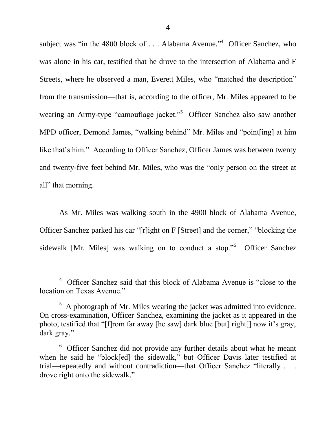subject was "in the 4800 block of  $\ldots$  Alabama Avenue."<sup>4</sup> Officer Sanchez, who was alone in his car, testified that he drove to the intersection of Alabama and F Streets, where he observed a man, Everett Miles, who "matched the description" from the transmission—that is, according to the officer, Mr. Miles appeared to be wearing an Army-type "camouflage jacket."<sup>5</sup> Officer Sanchez also saw another MPD officer, Demond James, "walking behind" Mr. Miles and "point[ing] at him like that's him." According to Officer Sanchez, Officer James was between twenty and twenty-five feet behind Mr. Miles, who was the "only person on the street at all" that morning.

As Mr. Miles was walking south in the 4900 block of Alabama Avenue, Officer Sanchez parked his car "[r]ight on F [Street] and the corner," "blocking the sidewalk [Mr. Miles] was walking on to conduct a stop."<sup>6</sup> Officer Sanchez

l

<sup>&</sup>lt;sup>4</sup> Officer Sanchez said that this block of Alabama Avenue is "close to the location on Texas Avenue."

 $<sup>5</sup>$  A photograph of Mr. Miles wearing the jacket was admitted into evidence.</sup> On cross-examination, Officer Sanchez, examining the jacket as it appeared in the photo, testified that "[f]rom far away [he saw] dark blue [but] right[] now it's gray, dark gray."

<sup>&</sup>lt;sup>6</sup> Officer Sanchez did not provide any further details about what he meant when he said he "block[ed] the sidewalk," but Officer Davis later testified at trial—repeatedly and without contradiction—that Officer Sanchez "literally . . . drove right onto the sidewalk."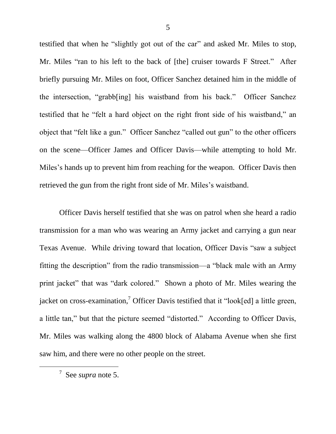testified that when he "slightly got out of the car" and asked Mr. Miles to stop, Mr. Miles "ran to his left to the back of [the] cruiser towards F Street." After briefly pursuing Mr. Miles on foot, Officer Sanchez detained him in the middle of the intersection, "grabb[ing] his waistband from his back." Officer Sanchez testified that he "felt a hard object on the right front side of his waistband," an object that "felt like a gun." Officer Sanchez "called out gun" to the other officers on the scene—Officer James and Officer Davis—while attempting to hold Mr. Miles's hands up to prevent him from reaching for the weapon. Officer Davis then retrieved the gun from the right front side of Mr. Miles's waistband.

Officer Davis herself testified that she was on patrol when she heard a radio transmission for a man who was wearing an Army jacket and carrying a gun near Texas Avenue. While driving toward that location, Officer Davis "saw a subject fitting the description" from the radio transmission—a "black male with an Army print jacket" that was "dark colored." Shown a photo of Mr. Miles wearing the jacket on cross-examination,<sup>7</sup> Officer Davis testified that it "look[ed] a little green, a little tan," but that the picture seemed "distorted." According to Officer Davis, Mr. Miles was walking along the 4800 block of Alabama Avenue when she first saw him, and there were no other people on the street.

<sup>7</sup> See *supra* note 5.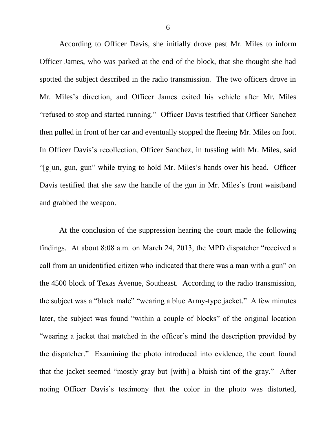According to Officer Davis, she initially drove past Mr. Miles to inform Officer James, who was parked at the end of the block, that she thought she had spotted the subject described in the radio transmission. The two officers drove in Mr. Miles's direction, and Officer James exited his vehicle after Mr. Miles "refused to stop and started running." Officer Davis testified that Officer Sanchez then pulled in front of her car and eventually stopped the fleeing Mr. Miles on foot. In Officer Davis's recollection, Officer Sanchez, in tussling with Mr. Miles, said "[g]un, gun, gun" while trying to hold Mr. Miles's hands over his head. Officer Davis testified that she saw the handle of the gun in Mr. Miles's front waistband and grabbed the weapon.

At the conclusion of the suppression hearing the court made the following findings. At about 8:08 a.m. on March 24, 2013, the MPD dispatcher "received a call from an unidentified citizen who indicated that there was a man with a gun" on the 4500 block of Texas Avenue, Southeast. According to the radio transmission, the subject was a "black male" "wearing a blue Army-type jacket." A few minutes later, the subject was found "within a couple of blocks" of the original location "wearing a jacket that matched in the officer's mind the description provided by the dispatcher." Examining the photo introduced into evidence, the court found that the jacket seemed "mostly gray but [with] a bluish tint of the gray." After noting Officer Davis's testimony that the color in the photo was distorted,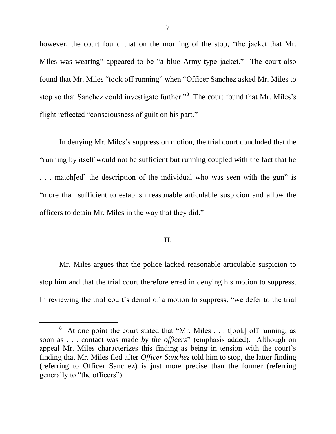however, the court found that on the morning of the stop, "the jacket that Mr. Miles was wearing" appeared to be "a blue Army-type jacket." The court also found that Mr. Miles "took off running" when "Officer Sanchez asked Mr. Miles to stop so that Sanchez could investigate further."<sup>8</sup> The court found that Mr. Miles's flight reflected "consciousness of guilt on his part."

In denying Mr. Miles's suppression motion, the trial court concluded that the ―running by itself would not be sufficient but running coupled with the fact that he ... match[ed] the description of the individual who was seen with the gun" is ―more than sufficient to establish reasonable articulable suspicion and allow the officers to detain Mr. Miles in the way that they did."

# **II.**

Mr. Miles argues that the police lacked reasonable articulable suspicion to stop him and that the trial court therefore erred in denying his motion to suppress. In reviewing the trial court's denial of a motion to suppress, "we defer to the trial

l

<sup>8</sup> At one point the court stated that "Mr. Miles . . . t[ook] off running, as soon as . . . contact was made *by the officers*" (emphasis added). Although on appeal Mr. Miles characterizes this finding as being in tension with the court's finding that Mr. Miles fled after *Officer Sanchez* told him to stop, the latter finding (referring to Officer Sanchez) is just more precise than the former (referring generally to "the officers").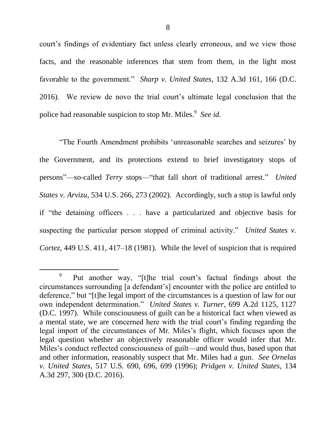court's findings of evidentiary fact unless clearly erroneous, and we view those facts, and the reasonable inferences that stem from them, in the light most favorable to the government." *Sharp v. United States*, 132 A.3d 161, 166 (D.C. 2016). We review de novo the trial court's ultimate legal conclusion that the police had reasonable suspicion to stop Mr. Miles.<sup>9</sup> See id.

―The Fourth Amendment prohibits ‗unreasonable searches and seizures' by the Government, and its protections extend to brief investigatory stops of persons"—so-called *Terry* stops—"that fall short of traditional arrest." *United States v. Arvizu*, 534 U.S. 266, 273 (2002). Accordingly, such a stop is lawful only if "the detaining officers . . . have a particularized and objective basis for suspecting the particular person stopped of criminal activity." *United States v. Cortez*, 449 U.S. 411, 417–18 (1981). While the level of suspicion that is required

<sup>9</sup> Put another way, "[t]he trial court's factual findings about the circumstances surrounding [a defendant's] encounter with the police are entitled to deference," but "[t]he legal import of the circumstances is a question of law for our own independent determination." *United States v. Turner*, 699 A.2d 1125, 1127 (D.C. 1997). While consciousness of guilt can be a historical fact when viewed as a mental state, we are concerned here with the trial court's finding regarding the legal import of the circumstances of Mr. Miles's flight, which focuses upon the legal question whether an objectively reasonable officer would infer that Mr. Miles's conduct reflected consciousness of guilt—and would thus, based upon that and other information, reasonably suspect that Mr. Miles had a gun. *See Ornelas v. United States*, 517 U.S. 690, 696, 699 (1996); *Pridgen v. United States*, 134 A.3d 297, 300 (D.C. 2016).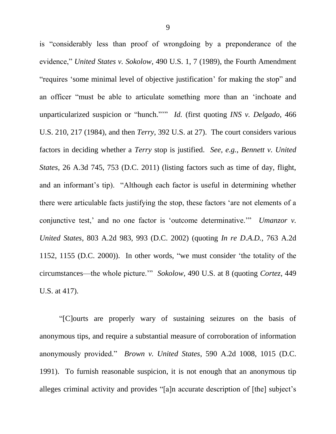is "considerably less than proof of wrongdoing by a preponderance of the evidence," *United States v. Sokolow*, 490 U.S. 1, 7 (1989), the Fourth Amendment "requires 'some minimal level of objective justification' for making the stop" and an officer "must be able to articulate something more than an 'inchoate and unparticularized suspicion or "hunch."" *Id.* (first quoting *INS v. Delgado*, 466 U.S. 210, 217 (1984), and then *Terry*, 392 U.S. at 27). The court considers various factors in deciding whether a *Terry* stop is justified. *See, e.g.*, *Bennett v. United States*, 26 A.3d 745, 753 (D.C. 2011) (listing factors such as time of day, flight, and an informant's tip). "Although each factor is useful in determining whether there were articulable facts justifying the stop, these factors 'are not elements of a conjunctive test,' and no one factor is 'outcome determinative.'" *Umanzor v. United States*, 803 A.2d 983, 993 (D.C. 2002) (quoting *In re D.A.D.*, 763 A.2d 1152, 1155 (D.C. 2000)). In other words, "we must consider 'the totality of the circumstances—the whole picture.'‖ *Sokolow*, 490 U.S. at 8 (quoting *Cortez*, 449 U.S. at 417).

―[C]ourts are properly wary of sustaining seizures on the basis of anonymous tips, and require a substantial measure of corroboration of information anonymously provided." *Brown v. United States*, 590 A.2d 1008, 1015 (D.C. 1991). To furnish reasonable suspicion, it is not enough that an anonymous tip alleges criminal activity and provides "[a]n accurate description of [the] subject's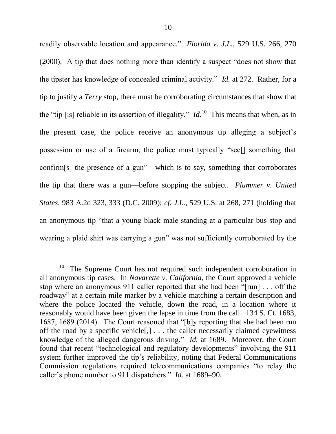readily observable location and appearance." *Florida v. J.L.*, 529 U.S. 266, 270  $(2000)$ . A tip that does nothing more than identify a suspect "does not show that the tipster has knowledge of concealed criminal activity." *Id.* at 272. Rather, for a tip to justify a *Terry* stop, there must be corroborating circumstances that show that the "tip [is] reliable in its assertion of illegality."  $Id$ <sup>10</sup> This means that when, as in the present case, the police receive an anonymous tip alleging a subject's possession or use of a firearm, the police must typically "see<sup>[]</sup> something that confirm[s] the presence of a gun"—which is to say, something that corroborates the tip that there was a gun—before stopping the subject. *Plummer v. United States*, 983 A.2d 323, 333 (D.C. 2009); *cf. J.L.*, 529 U.S. at 268, 271 (holding that an anonymous tip "that a young black male standing at a particular bus stop and wearing a plaid shirt was carrying a gun" was not sufficiently corroborated by the

<sup>10</sup> The Supreme Court has not required such independent corroboration in all anonymous tip cases. In *Navarette v. California*, the Court approved a vehicle stop where an anonymous 911 caller reported that she had been " $\lceil \text{run} \rceil$ ... off the roadway" at a certain mile marker by a vehicle matching a certain description and where the police located the vehicle, down the road, in a location where it reasonably would have been given the lapse in time from the call. 134 S. Ct. 1683, 1687, 1689 (2014). The Court reasoned that "[b]y reporting that she had been run off the road by a specific vehicle[,] . . . the caller necessarily claimed eyewitness knowledge of the alleged dangerous driving." *Id.* at 1689. Moreover, the Court found that recent "technological and regulatory developments" involving the 911 system further improved the tip's reliability, noting that Federal Communications Commission regulations required telecommunications companies "to relay the caller's phone number to 911 dispatchers." *Id.* at 1689–90.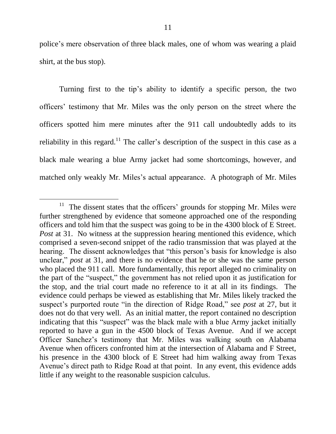police's mere observation of three black males, one of whom was wearing a plaid shirt, at the bus stop).

Turning first to the tip's ability to identify a specific person, the two officers' testimony that Mr. Miles was the only person on the street where the officers spotted him mere minutes after the 911 call undoubtedly adds to its reliability in this regard.<sup>11</sup> The caller's description of the suspect in this case as a black male wearing a blue Army jacket had some shortcomings, however, and matched only weakly Mr. Miles's actual appearance. A photograph of Mr. Miles

l

 $11$  The dissent states that the officers' grounds for stopping Mr. Miles were further strengthened by evidence that someone approached one of the responding officers and told him that the suspect was going to be in the 4300 block of E Street. *Post* at 31. No witness at the suppression hearing mentioned this evidence, which comprised a seven-second snippet of the radio transmission that was played at the hearing. The dissent acknowledges that "this person's basis for knowledge is also unclear," *post* at 31, and there is no evidence that he or she was the same person who placed the 911 call. More fundamentally, this report alleged no criminality on the part of the "suspect," the government has not relied upon it as justification for the stop, and the trial court made no reference to it at all in its findings. The evidence could perhaps be viewed as establishing that Mr. Miles likely tracked the suspect's purported route "in the direction of Ridge Road," see *post* at 27, but it does not do that very well. As an initial matter, the report contained no description indicating that this "suspect" was the black male with a blue Army jacket initially reported to have a gun in the 4500 block of Texas Avenue. And if we accept Officer Sanchez's testimony that Mr. Miles was walking south on Alabama Avenue when officers confronted him at the intersection of Alabama and F Street, his presence in the 4300 block of E Street had him walking away from Texas Avenue's direct path to Ridge Road at that point. In any event, this evidence adds little if any weight to the reasonable suspicion calculus.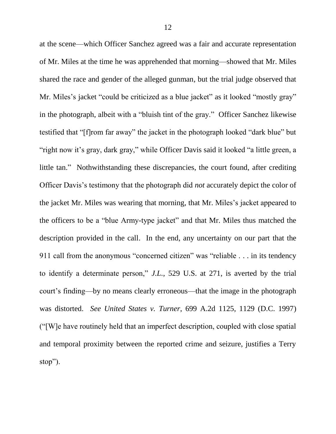at the scene—which Officer Sanchez agreed was a fair and accurate representation of Mr. Miles at the time he was apprehended that morning—showed that Mr. Miles shared the race and gender of the alleged gunman, but the trial judge observed that Mr. Miles's jacket "could be criticized as a blue jacket" as it looked "mostly gray" in the photograph, albeit with a "bluish tint of the gray." Officer Sanchez likewise testified that "[f]rom far away" the jacket in the photograph looked "dark blue" but "right now it's gray, dark gray," while Officer Davis said it looked "a little green, a little tan." Nothwithstanding these discrepancies, the court found, after crediting Officer Davis's testimony that the photograph did *not* accurately depict the color of the jacket Mr. Miles was wearing that morning, that Mr. Miles's jacket appeared to the officers to be a "blue Army-type jacket" and that Mr. Miles thus matched the description provided in the call. In the end, any uncertainty on our part that the 911 call from the anonymous "concerned citizen" was "reliable  $\dots$  in its tendency to identify a determinate person," *J.L.*, 529 U.S. at 271, is averted by the trial court's finding—by no means clearly erroneous—that the image in the photograph was distorted. *See United States v. Turner*, 699 A.2d 1125, 1129 (D.C. 1997) (―[W]e have routinely held that an imperfect description, coupled with close spatial and temporal proximity between the reported crime and seizure, justifies a Terry stop").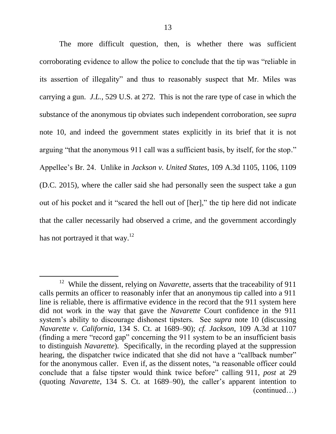The more difficult question, then, is whether there was sufficient corroborating evidence to allow the police to conclude that the tip was "reliable in its assertion of illegality" and thus to reasonably suspect that Mr. Miles was carrying a gun. *J.L.*, 529 U.S. at 272. This is not the rare type of case in which the substance of the anonymous tip obviates such independent corroboration, see *supra*  note 10, and indeed the government states explicitly in its brief that it is not arguing "that the anonymous 911 call was a sufficient basis, by itself, for the stop." Appellee's Br. 24. Unlike in *Jackson v. United States*, 109 A.3d 1105, 1106, 1109 (D.C. 2015), where the caller said she had personally seen the suspect take a gun out of his pocket and it "scared the hell out of [her]," the tip here did not indicate that the caller necessarily had observed a crime, and the government accordingly has not portrayed it that way.<sup>12</sup>

<sup>&</sup>lt;sup>12</sup> While the dissent, relying on *Navarette*, asserts that the traceability of 911 calls permits an officer to reasonably infer that an anonymous tip called into a 911 line is reliable, there is affirmative evidence in the record that the 911 system here did not work in the way that gave the *Navarette* Court confidence in the 911 system's ability to discourage dishonest tipsters. See *supra* note 10 (discussing *Navarette v. California*, 134 S. Ct. at 1689–90); *cf. Jackson*, 109 A.3d at 1107 (finding a mere "record gap" concerning the  $911$  system to be an insufficient basis to distinguish *Navarette*). Specifically, in the recording played at the suppression hearing, the dispatcher twice indicated that she did not have a "callback number" for the anonymous caller. Even if, as the dissent notes, "a reasonable officer could conclude that a false tipster would think twice before" calling 911, *post* at 29 (quoting *Navarette*, 134 S. Ct. at 1689–90), the caller's apparent intention to (continued…)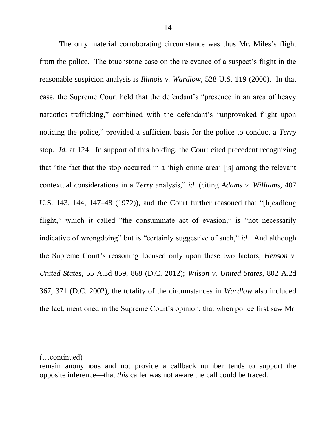The only material corroborating circumstance was thus Mr. Miles's flight from the police. The touchstone case on the relevance of a suspect's flight in the reasonable suspicion analysis is *Illinois v. Wardlow*, 528 U.S. 119 (2000). In that case, the Supreme Court held that the defendant's "presence in an area of heavy narcotics trafficking," combined with the defendant's "unprovoked flight upon noticing the police," provided a sufficient basis for the police to conduct a *Terry* stop. *Id.* at 124. In support of this holding, the Court cited precedent recognizing that "the fact that the stop occurred in a 'high crime area' [is] among the relevant contextual considerations in a *Terry* analysis," *id.* (citing *Adams v. Williams*, 407 U.S. 143, 144, 147–48 (1972)), and the Court further reasoned that "[h]eadlong flight," which it called "the consummate act of evasion," is "not necessarily indicative of wrongdoing" but is "certainly suggestive of such," *id.* And although the Supreme Court's reasoning focused only upon these two factors, *Henson v. United States*, 55 A.3d 859, 868 (D.C. 2012); *Wilson v. United States*, 802 A.2d 367, 371 (D.C. 2002), the totality of the circumstances in *Wardlow* also included the fact, mentioned in the Supreme Court's opinion, that when police first saw Mr.

<sup>(…</sup>continued)

remain anonymous and not provide a callback number tends to support the opposite inference—that *this* caller was not aware the call could be traced.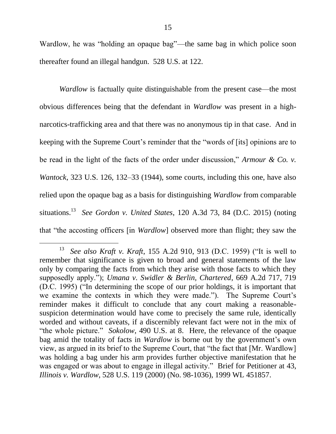Wardlow, he was "holding an opaque bag"—the same bag in which police soon thereafter found an illegal handgun. 528 U.S. at 122.

*Wardlow* is factually quite distinguishable from the present case—the most obvious differences being that the defendant in *Wardlow* was present in a highnarcotics-trafficking area and that there was no anonymous tip in that case. And in keeping with the Supreme Court's reminder that the "words of [its] opinions are to be read in the light of the facts of the order under discussion," *Armour & Co. v. Wantock*, 323 U.S. 126, 132–33 (1944), some courts, including this one, have also relied upon the opaque bag as a basis for distinguishing *Wardlow* from comparable situations. 13 *See Gordon v. United States*, 120 A.3d 73, 84 (D.C. 2015) (noting that "the accosting officers [in *Wardlow*] observed more than flight; they saw the

<sup>13</sup> *See also Kraft v. Kraft*, 155 A.2d 910, 913 (D.C. 1959) ("It is well to remember that significance is given to broad and general statements of the law only by comparing the facts from which they arise with those facts to which they supposedly apply."); *Umana v. Swidler & Berlin, Chartered*, 669 A.2d 717, 719  $(D.C. 1995)$  ( $\lq$ In determining the scope of our prior holdings, it is important that we examine the contexts in which they were made."). The Supreme Court's reminder makes it difficult to conclude that any court making a reasonablesuspicion determination would have come to precisely the same rule, identically worded and without caveats, if a discernibly relevant fact were not in the mix of "the whole picture." *Sokolow*, 490 U.S. at 8. Here, the relevance of the opaque bag amid the totality of facts in *Wardlow* is borne out by the government's own view, as argued in its brief to the Supreme Court, that "the fact that [Mr. Wardlow] was holding a bag under his arm provides further objective manifestation that he was engaged or was about to engage in illegal activity." Brief for Petitioner at 43, *Illinois v. Wardlow*, 528 U.S. 119 (2000) (No. 98-1036), 1999 WL 451857.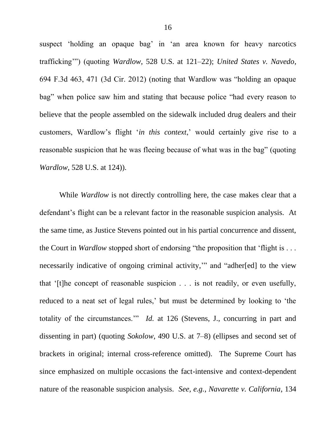suspect 'holding an opaque bag' in 'an area known for heavy narcotics trafficking"") (quoting *Wardlow*, 528 U.S. at 121–22); *United States v. Navedo*, 694 F.3d  $463$ , 471 (3d Cir. 2012) (noting that Wardlow was "holding an opaque bag" when police saw him and stating that because police "had every reason to believe that the people assembled on the sidewalk included drug dealers and their customers, Wardlow's flight ‗*in this context*,' would certainly give rise to a reasonable suspicion that he was fleeing because of what was in the bag" (quoting *Wardlow*, 528 U.S. at 124)).

While *Wardlow* is not directly controlling here, the case makes clear that a defendant's flight can be a relevant factor in the reasonable suspicion analysis. At the same time, as Justice Stevens pointed out in his partial concurrence and dissent, the Court in *Wardlow* stopped short of endorsing "the proposition that 'flight is . . . necessarily indicative of ongoing criminal activity," and "adher[ed] to the view that ‗[t]he concept of reasonable suspicion . . . is not readily, or even usefully, reduced to a neat set of legal rules,' but must be determined by looking to 'the totality of the circumstances." *Id.* at 126 (Stevens, J., concurring in part and dissenting in part) (quoting *Sokolow*, 490 U.S. at 7–8) (ellipses and second set of brackets in original; internal cross-reference omitted). The Supreme Court has since emphasized on multiple occasions the fact-intensive and context-dependent nature of the reasonable suspicion analysis. *See, e.g.*, *Navarette v. California*, 134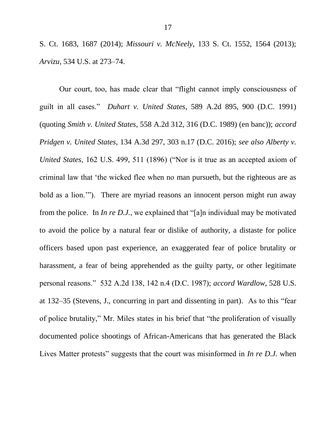S. Ct. 1683, 1687 (2014); *Missouri v. McNeely*, 133 S. Ct. 1552, 1564 (2013); *Arvizu*, 534 U.S. at 273–74.

Our court, too, has made clear that "flight cannot imply consciousness of guilt in all cases.‖ *Duhart v. United States*, 589 A.2d 895, 900 (D.C. 1991) (quoting *Smith v. United States*, 558 A.2d 312, 316 (D.C. 1989) (en banc)); *accord Pridgen v. United States*, 134 A.3d 297, 303 n.17 (D.C. 2016); *see also Alberty v. United States*, 162 U.S. 499, 511 (1896) ("Nor is it true as an accepted axiom of criminal law that 'the wicked flee when no man pursueth, but the righteous are as bold as a lion.""). There are myriad reasons an innocent person might run away from the police. In *In re D.J.*, we explained that "[a]n individual may be motivated to avoid the police by a natural fear or dislike of authority, a distaste for police officers based upon past experience, an exaggerated fear of police brutality or harassment, a fear of being apprehended as the guilty party, or other legitimate personal reasons.‖ 532 A.2d 138, 142 n.4 (D.C. 1987); *accord Wardlow*, 528 U.S. at 132–35 (Stevens, J., concurring in part and dissenting in part). As to this "fear of police brutality," Mr. Miles states in his brief that "the proliferation of visually documented police shootings of African-Americans that has generated the Black Lives Matter protests" suggests that the court was misinformed in *In re D.J.* when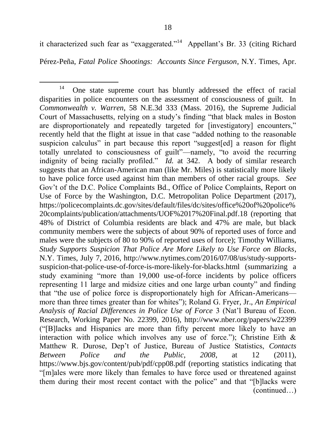it characterized such fear as "exaggerated."<sup>14</sup> Appellant's Br. 33 (citing Richard

Pérez-Peña, *Fatal Police Shootings: Accounts Since Ferguson*, N.Y. Times, Apr.

<sup>14</sup> One state supreme court has bluntly addressed the effect of racial disparities in police encounters on the assessment of consciousness of guilt. In *Commonwealth v. Warren*, 58 N.E.3d 333 (Mass. 2016), the Supreme Judicial Court of Massachusetts, relying on a study's finding "that black males in Boston are disproportionately and repeatedly targeted for [investigatory] encounters," recently held that the flight at issue in that case "added nothing to the reasonable suspicion calculus" in part because this report "suggest[ed] a reason for flight totally unrelated to consciousness of guilt"—namely, "to avoid the recurring indignity of being racially profiled." *Id.* at 342. A body of similar research suggests that an African-American man (like Mr. Miles) is statistically more likely to have police force used against him than members of other racial groups. *See*  Gov't of the D.C. Police Complaints Bd., Office of Police Complaints, Report on Use of Force by the Washington, D.C. Metropolitan Police Department (2017), https://policecomplaints.dc.gov/sites/default/files/dc/sites/office%20of%20police% 20complaints/publication/attachments/UOF%2017%20Final.pdf.18 (reporting that 48% of District of Columbia residents are black and 47% are male, but black community members were the subjects of about 90% of reported uses of force and males were the subjects of 80 to 90% of reported uses of force); Timothy Williams, *Study Supports Suspicion That Police Are More Likely to Use Force on Blacks*, N.Y. Times, July 7, 2016, http://www.nytimes.com/2016/07/08/us/study-supportssuspicion-that-police-use-of-force-is-more-likely-for-blacks.html (summarizing a study examining "more than 19,000 use-of-force incidents by police officers representing 11 large and midsize cities and one large urban county" and finding that "the use of police force is disproportionately high for African-Americans more than three times greater than for whites"); Roland G. Fryer, Jr., *An Empirical Analysis of Racial Differences in Police Use of Force* 3 (Nat'l Bureau of Econ. Research, Working Paper No. 22399, 2016), http://www.nber.org/papers/w22399 (―[B]lacks and Hispanics are more than fifty percent more likely to have an interaction with police which involves any use of force."); Christine Eith  $\&$ Matthew R. Durose, Dep't of Justice, Bureau of Justice Statistics, *Contacts Between Police and the Public, 2008*, at 12 (2011), https://www.bjs.gov/content/pub/pdf/cpp08.pdf (reporting statistics indicating that ―[m]ales were more likely than females to have force used or threatened against them during their most recent contact with the police" and that "[b]lacks were (continued…)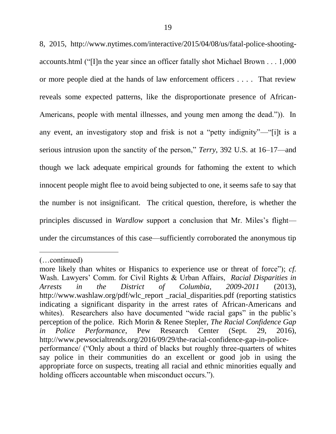8, 2015, http://www.nytimes.com/interactive/2015/04/08/us/fatal-police-shootingaccounts.html ("I]n the year since an officer fatally shot Michael Brown  $\dots$  1,000 or more people died at the hands of law enforcement officers . . . . That review reveals some expected patterns, like the disproportionate presence of African-Americans, people with mental illnesses, and young men among the dead."). In any event, an investigatory stop and frisk is not a "petty indignity"—"[i]t is a serious intrusion upon the sanctity of the person," *Terry*, 392 U.S. at 16–17—and though we lack adequate empirical grounds for fathoming the extent to which innocent people might flee to avoid being subjected to one, it seems safe to say that the number is not insignificant. The critical question, therefore, is whether the principles discussed in *Wardlow* support a conclusion that Mr. Miles's flight under the circumstances of this case—sufficiently corroborated the anonymous tip

<sup>(…</sup>continued)

more likely than whites or Hispanics to experience use or threat of force"); *cf.* Wash. Lawyers' Comm. for Civil Rights & Urban Affairs, *Racial Disparities in Arrests in the District of Columbia, 2009-2011* (2013), http://www.washlaw.org/pdf/wlc\_report \_racial\_disparities.pdf (reporting statistics indicating a significant disparity in the arrest rates of African-Americans and whites). Researchers also have documented "wide racial gaps" in the public's perception of the police. Rich Morin & Renee Stepler, *The Racial Confidence Gap in Police Performance*, Pew Research Center (Sept. 29, 2016), http://www.pewsocialtrends.org/2016/09/29/the-racial-confidence-gap-in-policeperformance/ ("Only about a third of blacks but roughly three-quarters of whites say police in their communities do an excellent or good job in using the appropriate force on suspects, treating all racial and ethnic minorities equally and holding officers accountable when misconduct occurs.").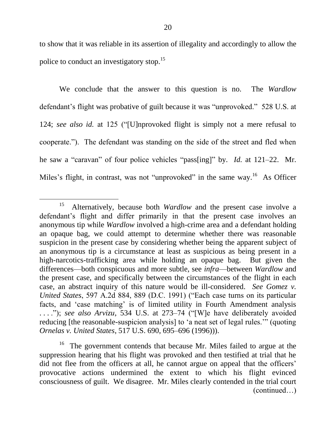to show that it was reliable in its assertion of illegality and accordingly to allow the police to conduct an investigatory stop.<sup>15</sup>

We conclude that the answer to this question is no. The *Wardlow* defendant's flight was probative of guilt because it was "unprovoked." 528 U.S. at 124; see also id. at 125 ("[U]nprovoked flight is simply not a mere refusal to cooperate.‖). The defendant was standing on the side of the street and fled when he saw a "caravan" of four police vehicles "pass[ing]" by. *Id.* at 121–22. Mr. Miles's flight, in contrast, was not "unprovoked" in the same way.<sup>16</sup> As Officer

l

<sup>15</sup> Alternatively, because both *Wardlow* and the present case involve a defendant's flight and differ primarily in that the present case involves an anonymous tip while *Wardlow* involved a high-crime area and a defendant holding an opaque bag, we could attempt to determine whether there was reasonable suspicion in the present case by considering whether being the apparent subject of an anonymous tip is a circumstance at least as suspicious as being present in a high-narcotics-trafficking area while holding an opaque bag. But given the differences—both conspicuous and more subtle, see *infra*—between *Wardlow* and the present case, and specifically between the circumstances of the flight in each case, an abstract inquiry of this nature would be ill-considered. *See Gomez v. United States*, 597 A.2d 884, 889 (D.C. 1991) ("Each case turns on its particular facts, and 'case matching' is of limited utility in Fourth Amendment analysis ...."); see also Arvizu, 534 U.S. at 273–74 ("[W]e have deliberately avoided reducing [the reasonable-suspicion analysis] to 'a neat set of legal rules.'" (quoting *Ornelas v. United States*, 517 U.S. 690, 695–696 (1996))).

<sup>&</sup>lt;sup>16</sup> The government contends that because Mr. Miles failed to argue at the suppression hearing that his flight was provoked and then testified at trial that he did not flee from the officers at all, he cannot argue on appeal that the officers' provocative actions undermined the extent to which his flight evinced consciousness of guilt. We disagree. Mr. Miles clearly contended in the trial court (continued…)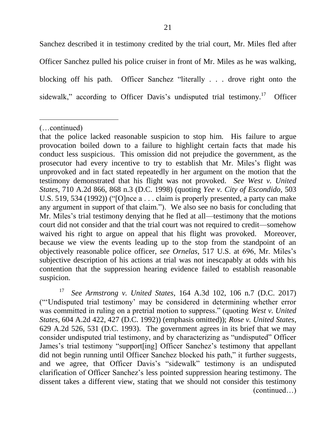Sanchez described it in testimony credited by the trial court, Mr. Miles fled after Officer Sanchez pulled his police cruiser in front of Mr. Miles as he was walking, blocking off his path. Officer Sanchez "literally  $\ldots$  drove right onto the sidewalk," according to Officer Davis's undisputed trial testimony.<sup>17</sup> **Officer** 

l

17 *See Armstrong v. United States*, 164 A.3d 102, 106 n.7 (D.C. 2017) (―‗Undisputed trial testimony' may be considered in determining whether error was committed in ruling on a pretrial motion to suppress." (quoting *West v. United States*, 604 A.2d 422, 427 (D.C. 1992)) (emphasis omitted)); *Rose v. United States*, 629 A.2d 526, 531 (D.C. 1993). The government agrees in its brief that we may consider undisputed trial testimony, and by characterizing as "undisputed" Officer James's trial testimony "support[ing] Officer Sanchez's testimony that appellant did not begin running until Officer Sanchez blocked his path," it further suggests, and we agree, that Officer Davis's "sidewalk" testimony is an undisputed clarification of Officer Sanchez's less pointed suppression hearing testimony. The dissent takes a different view, stating that we should not consider this testimony (continued…)

<sup>(…</sup>continued)

that the police lacked reasonable suspicion to stop him. His failure to argue provocation boiled down to a failure to highlight certain facts that made his conduct less suspicious. This omission did not prejudice the government, as the prosecutor had every incentive to try to establish that Mr. Miles's flight was unprovoked and in fact stated repeatedly in her argument on the motion that the testimony demonstrated that his flight was not provoked. *See West v. United States*, 710 A.2d 866, 868 n.3 (D.C. 1998) (quoting *Yee v. City of Escondido*, 503 U.S. 519, 534 (1992)) ("[O]nce  $a \dots$  claim is properly presented, a party can make any argument in support of that claim."). We also see no basis for concluding that Mr. Miles's trial testimony denying that he fled at all—testimony that the motions court did not consider and that the trial court was not required to credit—somehow waived his right to argue on appeal that his flight was provoked. Moreover, because we view the events leading up to the stop from the standpoint of an objectively reasonable police officer, *see Ornelas*, 517 U.S. at 696, Mr. Miles's subjective description of his actions at trial was not inescapably at odds with his contention that the suppression hearing evidence failed to establish reasonable suspicion.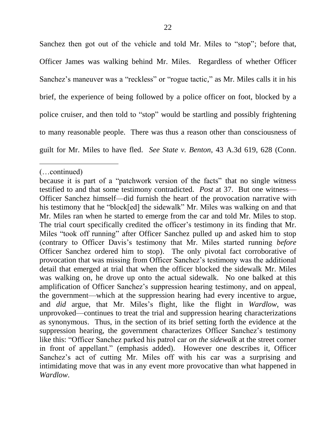Sanchez then got out of the vehicle and told Mr. Miles to "stop"; before that, Officer James was walking behind Mr. Miles. Regardless of whether Officer Sanchez's maneuver was a "reckless" or "rogue tactic," as Mr. Miles calls it in his brief, the experience of being followed by a police officer on foot, blocked by a police cruiser, and then told to "stop" would be startling and possibly frightening to many reasonable people. There was thus a reason other than consciousness of guilt for Mr. Miles to have fled. *See State v. Benton*, 43 A.3d 619, 628 (Conn.

l

<sup>(…</sup>continued)

because it is part of a "patchwork version of the facts" that no single witness testified to and that some testimony contradicted. *Post* at 37. But one witness— Officer Sanchez himself—did furnish the heart of the provocation narrative with his testimony that he "block[ed] the sidewalk" Mr. Miles was walking on and that Mr. Miles ran when he started to emerge from the car and told Mr. Miles to stop. The trial court specifically credited the officer's testimony in its finding that Mr. Miles "took off running" after Officer Sanchez pulled up and asked him to stop (contrary to Officer Davis's testimony that Mr. Miles started running *before* Officer Sanchez ordered him to stop). The only pivotal fact corroborative of provocation that was missing from Officer Sanchez's testimony was the additional detail that emerged at trial that when the officer blocked the sidewalk Mr. Miles was walking on, he drove up onto the actual sidewalk. No one balked at this amplification of Officer Sanchez's suppression hearing testimony, and on appeal, the government—which at the suppression hearing had every incentive to argue, and *did* argue, that Mr. Miles's flight, like the flight in *Wardlow*, was unprovoked—continues to treat the trial and suppression hearing characterizations as synonymous. Thus, in the section of its brief setting forth the evidence at the suppression hearing, the government characterizes Officer Sanchez's testimony like this: "Officer Sanchez parked his patrol car *on the sidewalk* at the street corner in front of appellant." (emphasis added). However one describes it, Officer Sanchez's act of cutting Mr. Miles off with his car was a surprising and intimidating move that was in any event more provocative than what happened in *Wardlow*.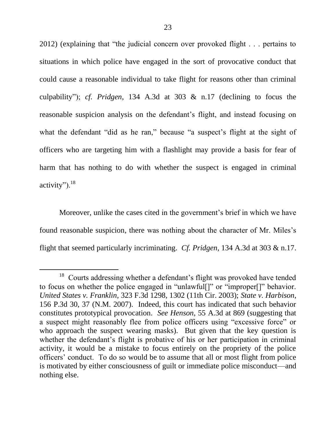$2012$ ) (explaining that "the judicial concern over provoked flight . . . pertains to situations in which police have engaged in the sort of provocative conduct that could cause a reasonable individual to take flight for reasons other than criminal culpability‖); *cf. Pridgen*, 134 A.3d at 303 & n.17 (declining to focus the reasonable suspicion analysis on the defendant's flight, and instead focusing on what the defendant "did as he ran," because "a suspect's flight at the sight of officers who are targeting him with a flashlight may provide a basis for fear of harm that has nothing to do with whether the suspect is engaged in criminal activity"). $^{18}$ 

Moreover, unlike the cases cited in the government's brief in which we have found reasonable suspicion, there was nothing about the character of Mr. Miles's flight that seemed particularly incriminating. *Cf. Pridgen*, 134 A.3d at 303 & n.17.

<sup>&</sup>lt;sup>18</sup> Courts addressing whether a defendant's flight was provoked have tended to focus on whether the police engaged in "unlawful[]" or "improper[]" behavior. *United States v. Franklin*, 323 F.3d 1298, 1302 (11th Cir. 2003); *State v. Harbison*, 156 P.3d 30, 37 (N.M. 2007). Indeed, this court has indicated that such behavior constitutes prototypical provocation. *See Henson*, 55 A.3d at 869 (suggesting that a suspect might reasonably flee from police officers using "excessive force" or who approach the suspect wearing masks). But given that the key question is whether the defendant's flight is probative of his or her participation in criminal activity, it would be a mistake to focus entirely on the propriety of the police officers' conduct. To do so would be to assume that all or most flight from police is motivated by either consciousness of guilt or immediate police misconduct—and nothing else.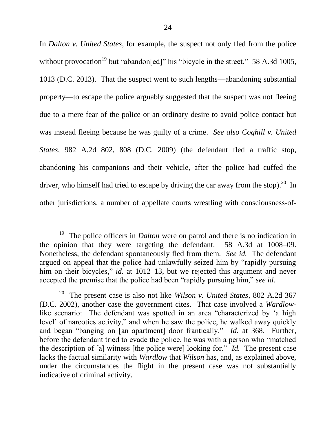In *Dalton v. United States*, for example, the suspect not only fled from the police without provocation<sup>19</sup> but "abandon[ed]" his "bicycle in the street." 58 A.3d 1005, 1013 (D.C. 2013). That the suspect went to such lengths—abandoning substantial property—to escape the police arguably suggested that the suspect was not fleeing due to a mere fear of the police or an ordinary desire to avoid police contact but was instead fleeing because he was guilty of a crime. *See also Coghill v. United States*, 982 A.2d 802, 808 (D.C. 2009) (the defendant fled a traffic stop, abandoning his companions and their vehicle, after the police had cuffed the driver, who himself had tried to escape by driving the car away from the stop).<sup>20</sup> In other jurisdictions, a number of appellate courts wrestling with consciousness-of-

<sup>19</sup> The police officers in *Dalton* were on patrol and there is no indication in the opinion that they were targeting the defendant. 58 A.3d at 1008–09. Nonetheless, the defendant spontaneously fled from them. *See id.* The defendant argued on appeal that the police had unlawfully seized him by "rapidly pursuing him on their bicycles," *id.* at 1012–13, but we rejected this argument and never accepted the premise that the police had been "rapidly pursuing him," see id.

<sup>20</sup> The present case is also not like *Wilson v. United States*, 802 A.2d 367 (D.C. 2002), another case the government cites. That case involved a *Wardlow*like scenario: The defendant was spotted in an area "characterized by 'a high level' of narcotics activity," and when he saw the police, he walked away quickly and began "banging on [an apartment] door frantically." *Id.* at 368. Further, before the defendant tried to evade the police, he was with a person who "matched the description of [a] witness [the police were] looking for." *Id.* The present case lacks the factual similarity with *Wardlow* that *Wilson* has, and, as explained above, under the circumstances the flight in the present case was not substantially indicative of criminal activity.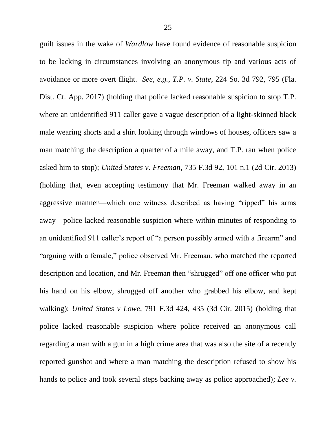guilt issues in the wake of *Wardlow* have found evidence of reasonable suspicion to be lacking in circumstances involving an anonymous tip and various acts of avoidance or more overt flight. *See, e.g.*, *T.P. v. State*, 224 So. 3d 792, 795 (Fla. Dist. Ct. App. 2017) (holding that police lacked reasonable suspicion to stop T.P. where an unidentified 911 caller gave a vague description of a light-skinned black male wearing shorts and a shirt looking through windows of houses, officers saw a man matching the description a quarter of a mile away, and T.P. ran when police asked him to stop); *United States v. Freeman*, 735 F.3d 92, 101 n.1 (2d Cir. 2013) (holding that, even accepting testimony that Mr. Freeman walked away in an aggressive manner—which one witness described as having "ripped" his arms away—police lacked reasonable suspicion where within minutes of responding to an unidentified 911 caller's report of "a person possibly armed with a firearm" and "arguing with a female," police observed Mr. Freeman, who matched the reported description and location, and Mr. Freeman then "shrugged" off one officer who put his hand on his elbow, shrugged off another who grabbed his elbow, and kept walking); *United States v Lowe*, 791 F.3d 424, 435 (3d Cir. 2015) (holding that police lacked reasonable suspicion where police received an anonymous call regarding a man with a gun in a high crime area that was also the site of a recently reported gunshot and where a man matching the description refused to show his hands to police and took several steps backing away as police approached); *Lee v.*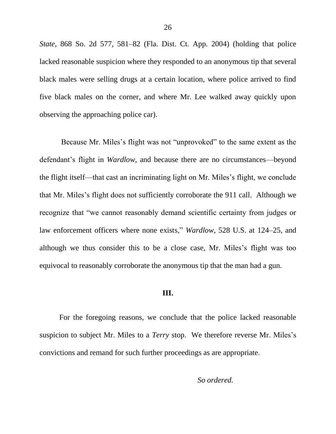*State*, 868 So. 2d 577, 581–82 (Fla. Dist. Ct. App. 2004) (holding that police lacked reasonable suspicion where they responded to an anonymous tip that several black males were selling drugs at a certain location, where police arrived to find five black males on the corner, and where Mr. Lee walked away quickly upon observing the approaching police car).

Because Mr. Miles's flight was not "unprovoked" to the same extent as the defendant's flight in *Wardlow*, and because there are no circumstances—beyond the flight itself—that cast an incriminating light on Mr. Miles's flight, we conclude that Mr. Miles's flight does not sufficiently corroborate the 911 call. Although we recognize that "we cannot reasonably demand scientific certainty from judges or law enforcement officers where none exists," *Wardlow*, 528 U.S. at 124–25, and although we thus consider this to be a close case, Mr. Miles's flight was too equivocal to reasonably corroborate the anonymous tip that the man had a gun.

## **III.**

For the foregoing reasons, we conclude that the police lacked reasonable suspicion to subject Mr. Miles to a *Terry* stop. We therefore reverse Mr. Miles's convictions and remand for such further proceedings as are appropriate.

*So ordered.*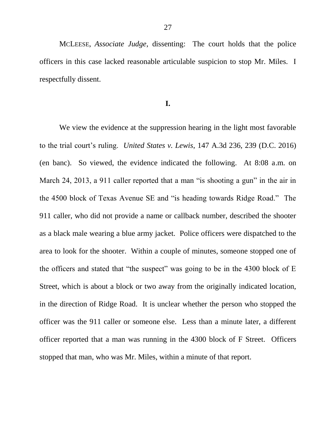MCLEESE, *Associate Judge*, dissenting: The court holds that the police officers in this case lacked reasonable articulable suspicion to stop Mr. Miles. I respectfully dissent.

## **I.**

We view the evidence at the suppression hearing in the light most favorable to the trial court's ruling. *United States v. Lewis*, 147 A.3d 236, 239 (D.C. 2016) (en banc). So viewed, the evidence indicated the following. At 8:08 a.m. on March 24, 2013, a 911 caller reported that a man "is shooting a gun" in the air in the 4500 block of Texas Avenue SE and "is heading towards Ridge Road." The 911 caller, who did not provide a name or callback number, described the shooter as a black male wearing a blue army jacket. Police officers were dispatched to the area to look for the shooter. Within a couple of minutes, someone stopped one of the officers and stated that "the suspect" was going to be in the  $4300$  block of E Street, which is about a block or two away from the originally indicated location, in the direction of Ridge Road. It is unclear whether the person who stopped the officer was the 911 caller or someone else. Less than a minute later, a different officer reported that a man was running in the 4300 block of F Street. Officers stopped that man, who was Mr. Miles, within a minute of that report.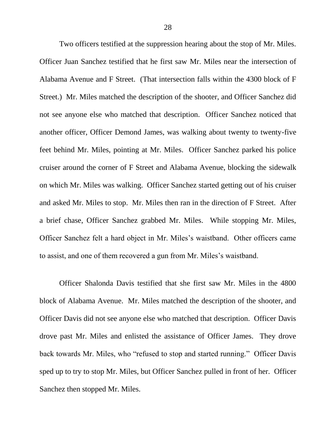Two officers testified at the suppression hearing about the stop of Mr. Miles. Officer Juan Sanchez testified that he first saw Mr. Miles near the intersection of Alabama Avenue and F Street. (That intersection falls within the 4300 block of F Street.) Mr. Miles matched the description of the shooter, and Officer Sanchez did not see anyone else who matched that description. Officer Sanchez noticed that another officer, Officer Demond James, was walking about twenty to twenty-five feet behind Mr. Miles, pointing at Mr. Miles. Officer Sanchez parked his police cruiser around the corner of F Street and Alabama Avenue, blocking the sidewalk on which Mr. Miles was walking. Officer Sanchez started getting out of his cruiser and asked Mr. Miles to stop. Mr. Miles then ran in the direction of F Street. After a brief chase, Officer Sanchez grabbed Mr. Miles. While stopping Mr. Miles, Officer Sanchez felt a hard object in Mr. Miles's waistband. Other officers came to assist, and one of them recovered a gun from Mr. Miles's waistband.

Officer Shalonda Davis testified that she first saw Mr. Miles in the 4800 block of Alabama Avenue. Mr. Miles matched the description of the shooter, and Officer Davis did not see anyone else who matched that description. Officer Davis drove past Mr. Miles and enlisted the assistance of Officer James. They drove back towards Mr. Miles, who "refused to stop and started running." Officer Davis sped up to try to stop Mr. Miles, but Officer Sanchez pulled in front of her.Officer Sanchez then stopped Mr. Miles.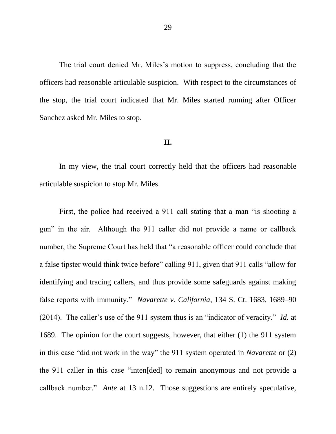The trial court denied Mr. Miles's motion to suppress, concluding that the officers had reasonable articulable suspicion. With respect to the circumstances of the stop, the trial court indicated that Mr. Miles started running after Officer Sanchez asked Mr. Miles to stop.

## **II.**

In my view, the trial court correctly held that the officers had reasonable articulable suspicion to stop Mr. Miles.

First, the police had received a 911 call stating that a man "is shooting a gun" in the air. Although the 911 caller did not provide a name or callback number, the Supreme Court has held that "a reasonable officer could conclude that a false tipster would think twice before" calling 911, given that 911 calls "allow for identifying and tracing callers, and thus provide some safeguards against making false reports with immunity." *Navarette v. California*, 134 S. Ct. 1683, 1689–90 (2014). The caller's use of the 911 system thus is an "indicator of veracity." *Id.* at 1689. The opinion for the court suggests, however, that either (1) the 911 system in this case "did not work in the way" the 911 system operated in *Navarette* or (2) the 911 caller in this case "inten[ded] to remain anonymous and not provide a callback number." *Ante* at 13 n.12. Those suggestions are entirely speculative,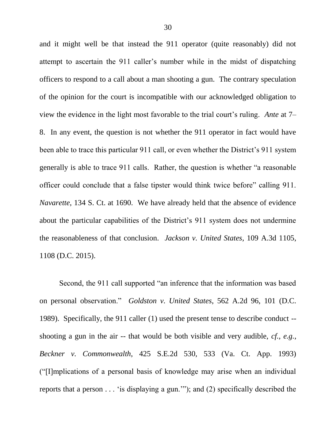and it might well be that instead the 911 operator (quite reasonably) did not attempt to ascertain the 911 caller's number while in the midst of dispatching officers to respond to a call about a man shooting a gun. The contrary speculation of the opinion for the court is incompatible with our acknowledged obligation to view the evidence in the light most favorable to the trial court's ruling. *Ante* at 7– 8. In any event, the question is not whether the 911 operator in fact would have been able to trace this particular 911 call, or even whether the District's 911 system generally is able to trace 911 calls. Rather, the question is whether "a reasonable" officer could conclude that a false tipster would think twice before" calling 911. *Navarette*, 134 S. Ct. at 1690. We have already held that the absence of evidence about the particular capabilities of the District's 911 system does not undermine the reasonableness of that conclusion. *Jackson v. United States*, 109 A.3d 1105, 1108 (D.C. 2015).

Second, the 911 call supported "an inference that the information was based on personal observation.‖ *Goldston v. United States*, 562 A.2d 96, 101 (D.C. 1989). Specifically, the 911 caller (1) used the present tense to describe conduct - shooting a gun in the air -- that would be both visible and very audible, *cf., e.g.*, *Beckner v. Commonwealth*, 425 S.E.2d 530, 533 (Va. Ct. App. 1993) (―[I]mplications of a personal basis of knowledge may arise when an individual reports that a person  $\dots$  'is displaying a gun.'"); and (2) specifically described the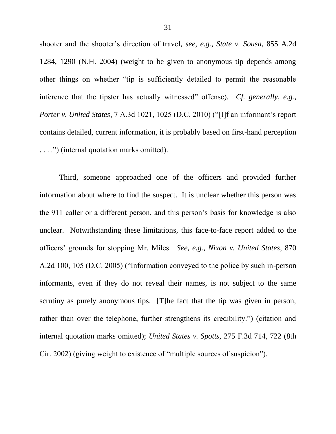shooter and the shooter's direction of travel, *see, e.g.*, *State v. Sousa*, 855 A.2d 1284, 1290 (N.H. 2004) (weight to be given to anonymous tip depends among other things on whether "tip is sufficiently detailed to permit the reasonable inference that the tipster has actually witnessed" offense). *Cf. generally, e.g.*, *Porter v. United States, 7 A.3d 1021, 1025 (D.C. 2010)* ("[I]f an informant's report contains detailed, current information, it is probably based on first-hand perception ....") (internal quotation marks omitted).

Third, someone approached one of the officers and provided further information about where to find the suspect. It is unclear whether this person was the 911 caller or a different person, and this person's basis for knowledge is also unclear. Notwithstanding these limitations, this face-to-face report added to the officers' grounds for stopping Mr. Miles. *See, e.g.*, *Nixon v. United States*, 870 A.2d 100, 105 (D.C. 2005) ("Information conveyed to the police by such in-person informants, even if they do not reveal their names, is not subject to the same scrutiny as purely anonymous tips. [T]he fact that the tip was given in person, rather than over the telephone, further strengthens its credibility.") (citation and internal quotation marks omitted); *United States v. Spotts*, 275 F.3d 714, 722 (8th Cir. 2002) (giving weight to existence of "multiple sources of suspicion").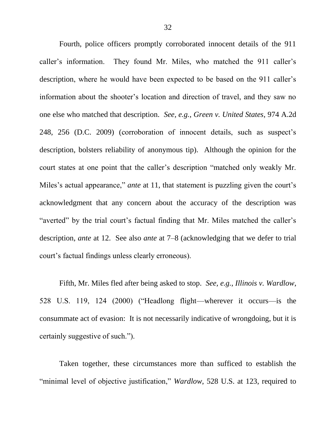Fourth, police officers promptly corroborated innocent details of the 911 caller's information. They found Mr. Miles, who matched the 911 caller's description, where he would have been expected to be based on the 911 caller's information about the shooter's location and direction of travel, and they saw no one else who matched that description. *See, e.g.*, *Green v. United States*, 974 A.2d 248, 256 (D.C. 2009) (corroboration of innocent details, such as suspect's description, bolsters reliability of anonymous tip). Although the opinion for the court states at one point that the caller's description "matched only weakly Mr. Miles's actual appearance," *ante* at 11, that statement is puzzling given the court's acknowledgment that any concern about the accuracy of the description was "averted" by the trial court's factual finding that Mr. Miles matched the caller's description, *ante* at 12. See also *ante* at 7–8 (acknowledging that we defer to trial court's factual findings unless clearly erroneous).

Fifth, Mr. Miles fled after being asked to stop. *See, e.g.*, *Illinois v. Wardlow*, 528 U.S. 119, 124 (2000) ("Headlong flight—wherever it occurs—is the consummate act of evasion: It is not necessarily indicative of wrongdoing, but it is certainly suggestive of such.").

Taken together, these circumstances more than sufficed to establish the "minimal level of objective justification," *Wardlow*, 528 U.S. at 123, required to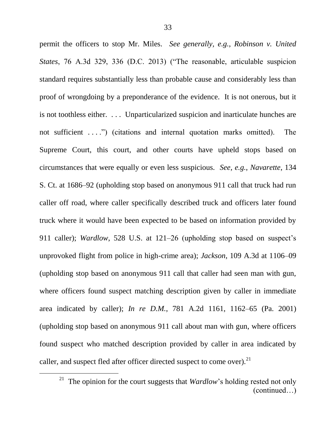permit the officers to stop Mr. Miles. *See generally, e.g.*, *Robinson v. United States*, 76 A.3d 329, 336 (D.C. 2013) ("The reasonable, articulable suspicion standard requires substantially less than probable cause and considerably less than proof of wrongdoing by a preponderance of the evidence. It is not onerous, but it is not toothless either. . . . Unparticularized suspicion and inarticulate hunches are not sufficient  $\dots$ ") (citations and internal quotation marks omitted). The Supreme Court, this court, and other courts have upheld stops based on circumstances that were equally or even less suspicious. *See, e.g.*, *Navarette*, 134 S. Ct. at 1686–92 (upholding stop based on anonymous 911 call that truck had run caller off road, where caller specifically described truck and officers later found truck where it would have been expected to be based on information provided by 911 caller); *Wardlow*, 528 U.S. at 121–26 (upholding stop based on suspect's unprovoked flight from police in high-crime area); *Jackson*, 109 A.3d at 1106–09 (upholding stop based on anonymous 911 call that caller had seen man with gun, where officers found suspect matching description given by caller in immediate area indicated by caller); *In re D.M.*, 781 A.2d 1161, 1162–65 (Pa. 2001) (upholding stop based on anonymous 911 call about man with gun, where officers found suspect who matched description provided by caller in area indicated by caller, and suspect fled after officer directed suspect to come over).<sup>21</sup>

<sup>&</sup>lt;sup>21</sup> The opinion for the court suggests that *Wardlow*'s holding rested not only (continued…)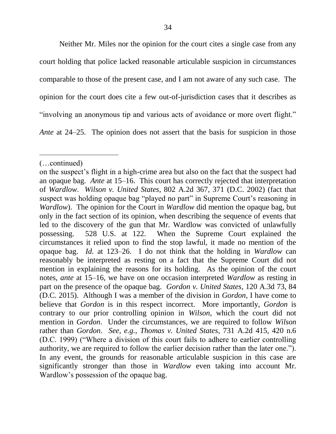Neither Mr. Miles nor the opinion for the court cites a single case from any court holding that police lacked reasonable articulable suspicion in circumstances comparable to those of the present case, and I am not aware of any such case. The opinion for the court does cite a few out-of-jurisdiction cases that it describes as "involving an anonymous tip and various acts of avoidance or more overt flight." *Ante* at 24–25. The opinion does not assert that the basis for suspicion in those

l

<sup>(…</sup>continued)

on the suspect's flight in a high-crime area but also on the fact that the suspect had an opaque bag. *Ante* at 15–16. This court has correctly rejected that interpretation of *Wardlow*. *Wilson v. United States*, 802 A.2d 367, 371 (D.C. 2002) (fact that suspect was holding opaque bag "played no part" in Supreme Court's reasoning in *Wardlow*). The opinion for the Court in *Wardlow* did mention the opaque bag, but only in the fact section of its opinion, when describing the sequence of events that led to the discovery of the gun that Mr. Wardlow was convicted of unlawfully possessing. 528 U.S. at 122. When the Supreme Court explained the circumstances it relied upon to find the stop lawful, it made no mention of the opaque bag. *Id.* at 123–26. I do not think that the holding in *Wardlow* can reasonably be interpreted as resting on a fact that the Supreme Court did not mention in explaining the reasons for its holding. As the opinion of the court notes, *ante* at 15–16, we have on one occasion interpreted *Wardlow* as resting in part on the presence of the opaque bag. *Gordon v. United States*, 120 A.3d 73, 84 (D.C. 2015). Although I was a member of the division in *Gordon*, I have come to believe that *Gordon* is in this respect incorrect. More importantly, *Gordon* is contrary to our prior controlling opinion in *Wilson*, which the court did not mention in *Gordon*. Under the circumstances, we are required to follow *Wilson* rather than *Gordon*. *See, e.g.*, *Thomas v. United States*, 731 A.2d 415, 420 n.6 (D.C. 1999) ("Where a division of this court fails to adhere to earlier controlling authority, we are required to follow the earlier decision rather than the later one."). In any event, the grounds for reasonable articulable suspicion in this case are significantly stronger than those in *Wardlow* even taking into account Mr. Wardlow's possession of the opaque bag.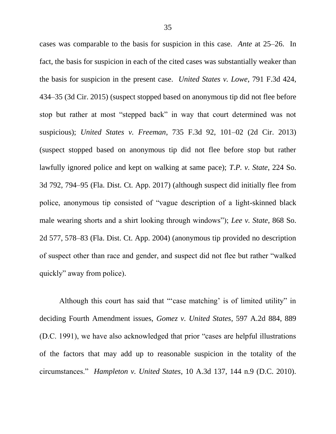cases was comparable to the basis for suspicion in this case. *Ante* at 25–26. In fact, the basis for suspicion in each of the cited cases was substantially weaker than the basis for suspicion in the present case. *United States v. Lowe*, 791 F.3d 424, 434–35 (3d Cir. 2015) (suspect stopped based on anonymous tip did not flee before stop but rather at most "stepped back" in way that court determined was not suspicious); *United States v. Freeman*, 735 F.3d 92, 101–02 (2d Cir. 2013) (suspect stopped based on anonymous tip did not flee before stop but rather lawfully ignored police and kept on walking at same pace); *T.P. v. State*, 224 So. 3d 792, 794–95 (Fla. Dist. Ct. App. 2017) (although suspect did initially flee from police, anonymous tip consisted of "vague description of a light-skinned black male wearing shorts and a shirt looking through windows"); *Lee v. State*, 868 So. 2d 577, 578–83 (Fla. Dist. Ct. App. 2004) (anonymous tip provided no description of suspect other than race and gender, and suspect did not flee but rather "walked" quickly" away from police).

Although this court has said that "case matching' is of limited utility" in deciding Fourth Amendment issues, *Gomez v. United States*, 597 A.2d 884, 889 (D.C. 1991), we have also acknowledged that prior "cases are helpful illustrations" of the factors that may add up to reasonable suspicion in the totality of the circumstances.‖ *Hampleton v. United States*, 10 A.3d 137, 144 n.9 (D.C. 2010).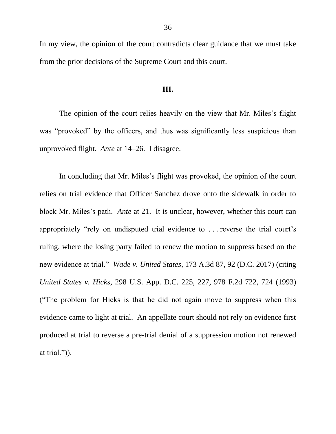In my view, the opinion of the court contradicts clear guidance that we must take from the prior decisions of the Supreme Court and this court.

### **III.**

The opinion of the court relies heavily on the view that Mr. Miles's flight was "provoked" by the officers, and thus was significantly less suspicious than unprovoked flight. *Ante* at 14–26. I disagree.

In concluding that Mr. Miles's flight was provoked, the opinion of the court relies on trial evidence that Officer Sanchez drove onto the sidewalk in order to block Mr. Miles's path. *Ante* at 21. It is unclear, however, whether this court can appropriately "rely on undisputed trial evidence to ... reverse the trial court's ruling, where the losing party failed to renew the motion to suppress based on the new evidence at trial.‖ *Wade v. United States*, 173 A.3d 87, 92 (D.C. 2017) (citing *United States v. Hicks*, 298 U.S. App. D.C. 225, 227, 978 F.2d 722, 724 (1993) (―The problem for Hicks is that he did not again move to suppress when this evidence came to light at trial. An appellate court should not rely on evidence first produced at trial to reverse a pre-trial denial of a suppression motion not renewed at trial.")).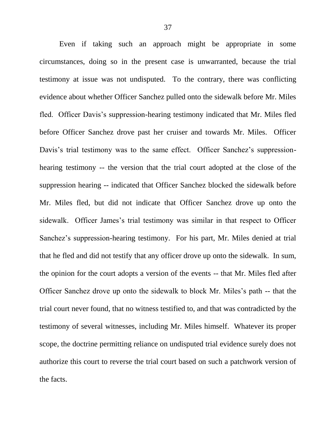Even if taking such an approach might be appropriate in some circumstances, doing so in the present case is unwarranted, because the trial testimony at issue was not undisputed. To the contrary, there was conflicting evidence about whether Officer Sanchez pulled onto the sidewalk before Mr. Miles fled. Officer Davis's suppression-hearing testimony indicated that Mr. Miles fled before Officer Sanchez drove past her cruiser and towards Mr. Miles. Officer Davis's trial testimony was to the same effect. Officer Sanchez's suppressionhearing testimony -- the version that the trial court adopted at the close of the suppression hearing -- indicated that Officer Sanchez blocked the sidewalk before Mr. Miles fled, but did not indicate that Officer Sanchez drove up onto the sidewalk. Officer James's trial testimony was similar in that respect to Officer Sanchez's suppression-hearing testimony. For his part, Mr. Miles denied at trial that he fled and did not testify that any officer drove up onto the sidewalk. In sum, the opinion for the court adopts a version of the events -- that Mr. Miles fled after Officer Sanchez drove up onto the sidewalk to block Mr. Miles's path -- that the trial court never found, that no witness testified to, and that was contradicted by the testimony of several witnesses, including Mr. Miles himself. Whatever its proper scope, the doctrine permitting reliance on undisputed trial evidence surely does not authorize this court to reverse the trial court based on such a patchwork version of the facts.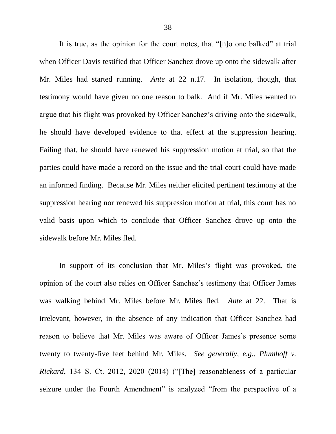It is true, as the opinion for the court notes, that "[n]o one balked" at trial when Officer Davis testified that Officer Sanchez drove up onto the sidewalk after Mr. Miles had started running. *Ante* at 22 n.17. In isolation, though, that testimony would have given no one reason to balk. And if Mr. Miles wanted to argue that his flight was provoked by Officer Sanchez's driving onto the sidewalk, he should have developed evidence to that effect at the suppression hearing. Failing that, he should have renewed his suppression motion at trial, so that the parties could have made a record on the issue and the trial court could have made an informed finding. Because Mr. Miles neither elicited pertinent testimony at the suppression hearing nor renewed his suppression motion at trial, this court has no valid basis upon which to conclude that Officer Sanchez drove up onto the sidewalk before Mr. Miles fled.

In support of its conclusion that Mr. Miles's flight was provoked, the opinion of the court also relies on Officer Sanchez's testimony that Officer James was walking behind Mr. Miles before Mr. Miles fled. *Ante* at 22. That is irrelevant, however, in the absence of any indication that Officer Sanchez had reason to believe that Mr. Miles was aware of Officer James's presence some twenty to twenty-five feet behind Mr. Miles. *See generally, e.g.*, *Plumhoff v. Rickard*, 134 S. Ct. 2012, 2020 (2014) ("[The] reasonableness of a particular seizure under the Fourth Amendment" is analyzed "from the perspective of a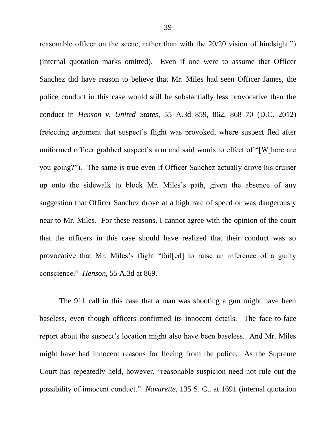reasonable officer on the scene, rather than with the 20/20 vision of hindsight.") (internal quotation marks omitted). Even if one were to assume that Officer Sanchez did have reason to believe that Mr. Miles had seen Officer James, the police conduct in this case would still be substantially less provocative than the conduct in *Henson v. United States*, 55 A.3d 859, 862, 868–70 (D.C. 2012) (rejecting argument that suspect's flight was provoked, where suspect fled after uniformed officer grabbed suspect's arm and said words to effect of "[W]here are you going?"). The same is true even if Officer Sanchez actually drove his cruiser up onto the sidewalk to block Mr. Miles's path, given the absence of any suggestion that Officer Sanchez drove at a high rate of speed or was dangerously near to Mr. Miles. For these reasons, I cannot agree with the opinion of the court that the officers in this case should have realized that their conduct was so provocative that Mr. Miles's flight "fail[ed] to raise an inference of a guilty conscience." *Henson*, 55 A.3d at 869.

The 911 call in this case that a man was shooting a gun might have been baseless, even though officers confirmed its innocent details. The face-to-face report about the suspect's location might also have been baseless. And Mr. Miles might have had innocent reasons for fleeing from the police. As the Supreme Court has repeatedly held, however, "reasonable suspicion need not rule out the possibility of innocent conduct.‖ *Navarette*, 135 S. Ct. at 1691 (internal quotation